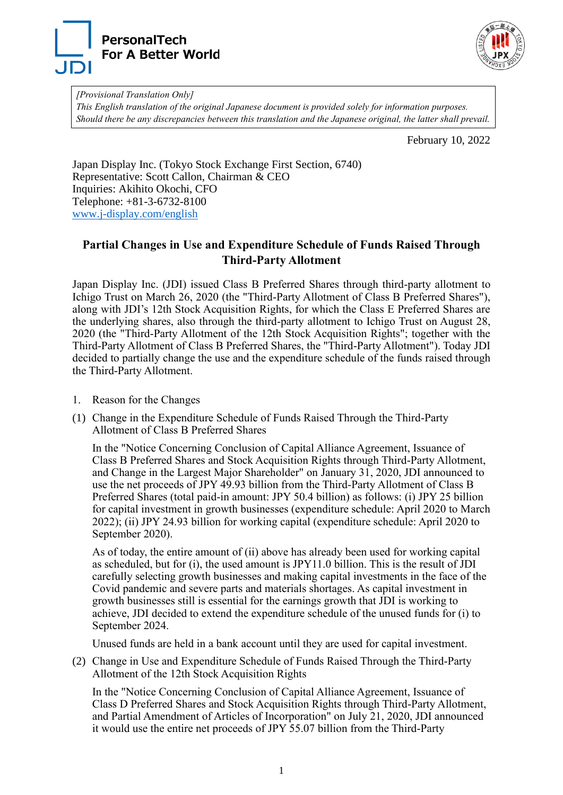



*[Provisional Translation Only] This English translation of the original Japanese document is provided solely for information purposes. Should there be any discrepancies between this translation and the Japanese original, the latter shall prevail.*

February 10, 2022

Japan Display Inc. (Tokyo Stock Exchange First Section, 6740) Representative: Scott Callon, Chairman & CEO Inquiries: Akihito Okochi, CFO Telephone: +81-3-6732-8100 [www.j-display.com/english](http://www.j-display.com/english/)

## **Partial Changes in Use and Expenditure Schedule of Funds Raised Through Third-Party Allotment**

Japan Display Inc. (JDI) issued Class B Preferred Shares through third-party allotment to Ichigo Trust on March 26, 2020 (the "Third-Party Allotment of Class B Preferred Shares"), along with JDI's 12th Stock Acquisition Rights, for which the Class E Preferred Shares are the underlying shares, also through the third-party allotment to Ichigo Trust on August 28, 2020 (the "Third-Party Allotment of the 12th Stock Acquisition Rights"; together with the Third-Party Allotment of Class B Preferred Shares, the "Third-Party Allotment"). Today JDI decided to partially change the use and the expenditure schedule of the funds raised through the Third-Party Allotment.

- 1. Reason for the Changes
- (1) Change in the Expenditure Schedule of Funds Raised Through the Third-Party Allotment of Class B Preferred Shares

In the "Notice Concerning Conclusion of Capital Alliance Agreement, Issuance of Class B Preferred Shares and Stock Acquisition Rights through Third-Party Allotment, and Change in the Largest Major Shareholder" on January 31, 2020, JDI announced to use the net proceeds of JPY 49.93 billion from the Third-Party Allotment of Class B Preferred Shares (total paid-in amount: JPY 50.4 billion) as follows: (i) JPY 25 billion for capital investment in growth businesses (expenditure schedule: April 2020 to March 2022); (ii) JPY 24.93 billion for working capital (expenditure schedule: April 2020 to September 2020).

As of today, the entire amount of (ii) above has already been used for working capital as scheduled, but for (i), the used amount is JPY11.0 billion. This is the result of JDI carefully selecting growth businesses and making capital investments in the face of the Covid pandemic and severe parts and materials shortages. As capital investment in growth businesses still is essential for the earnings growth that JDI is working to achieve, JDI decided to extend the expenditure schedule of the unused funds for (i) to September 2024.

Unused funds are held in a bank account until they are used for capital investment.

(2) Change in Use and Expenditure Schedule of Funds Raised Through the Third-Party Allotment of the 12th Stock Acquisition Rights

In the "Notice Concerning Conclusion of Capital Alliance Agreement, Issuance of Class D Preferred Shares and Stock Acquisition Rights through Third-Party Allotment, and Partial Amendment of Articles of Incorporation" on July 21, 2020, JDI announced it would use the entire net proceeds of JPY 55.07 billion from the Third-Party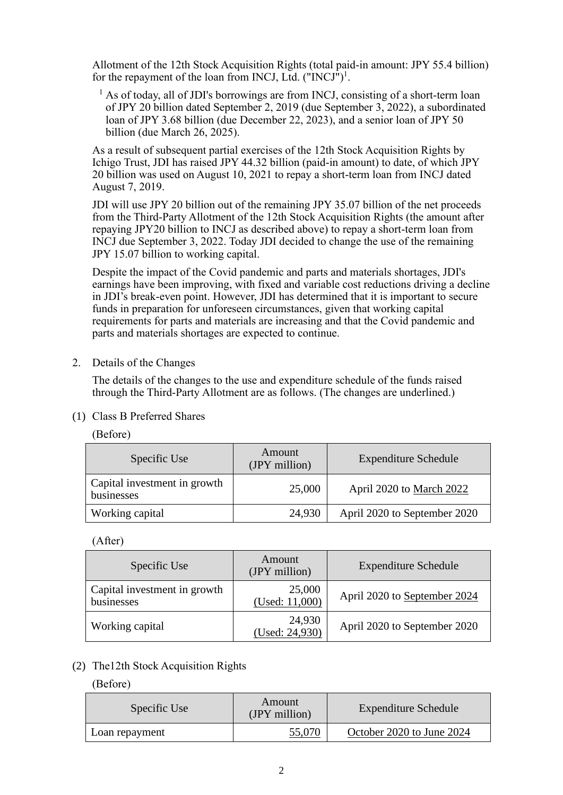Allotment of the 12th Stock Acquisition Rights (total paid-in amount: JPY 55.4 billion) for the repayment of the loan from INCJ, Ltd.  $("INCJ")^1$ .

 $<sup>1</sup>$  As of today, all of JDI's borrowings are from INCJ, consisting of a short-term loan</sup> of JPY 20 billion dated September 2, 2019 (due September 3, 2022), a subordinated loan of JPY 3.68 billion (due December 22, 2023), and a senior loan of JPY 50 billion (due March 26, 2025).

As a result of subsequent partial exercises of the 12th Stock Acquisition Rights by Ichigo Trust, JDI has raised JPY 44.32 billion (paid-in amount) to date, of which JPY 20 billion was used on August 10, 2021 to repay a short-term loan from INCJ dated August 7, 2019.

JDI will use JPY 20 billion out of the remaining JPY 35.07 billion of the net proceeds from the Third-Party Allotment of the 12th Stock Acquisition Rights (the amount after repaying JPY20 billion to INCJ as described above) to repay a short-term loan from INCJ due September 3, 2022. Today JDI decided to change the use of the remaining JPY 15.07 billion to working capital.

Despite the impact of the Covid pandemic and parts and materials shortages, JDI's earnings have been improving, with fixed and variable cost reductions driving a decline in JDI's break-even point. However, JDI has determined that it is important to secure funds in preparation for unforeseen circumstances, given that working capital requirements for parts and materials are increasing and that the Covid pandemic and parts and materials shortages are expected to continue.

2. Details of the Changes

The details of the changes to the use and expenditure schedule of the funds raised through the Third-Party Allotment are as follows. (The changes are underlined.)

(1) Class B Preferred Shares

| (Before) |  |
|----------|--|
|          |  |

| Specific Use                               | Amount<br>(JPY million) | <b>Expenditure Schedule</b>  |
|--------------------------------------------|-------------------------|------------------------------|
| Capital investment in growth<br>businesses | 25,000                  | April 2020 to March 2022     |
| Working capital                            | 24,930                  | April 2020 to September 2020 |

## (After)

| Specific Use                               | Amount<br>(JPY million)     | <b>Expenditure Schedule</b>  |
|--------------------------------------------|-----------------------------|------------------------------|
| Capital investment in growth<br>businesses | 25,000<br>(Used: $11,000$ ) | April 2020 to September 2024 |
| Working capital                            | 24,930<br>(Used: 24,930)    | April 2020 to September 2020 |

## (2) The12th Stock Acquisition Rights

## (Before)

| Specific Use   | Amount<br>(JPY million) | <b>Expenditure Schedule</b> |
|----------------|-------------------------|-----------------------------|
| Loan repayment | 55,070                  | October 2020 to June 2024   |